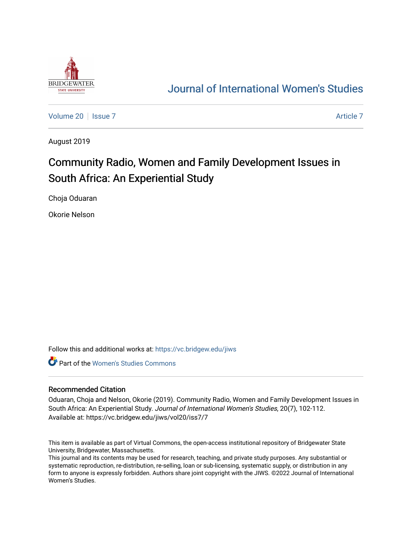

# [Journal of International Women's Studies](https://vc.bridgew.edu/jiws)

[Volume 20](https://vc.bridgew.edu/jiws/vol20) | [Issue 7](https://vc.bridgew.edu/jiws/vol20/iss7) [Article 7](https://vc.bridgew.edu/jiws/vol20/iss7/7) Article 7 Article 7 Article 7 Article 7 Article 7 Article 7

August 2019

# Community Radio, Women and Family Development Issues in South Africa: An Experiential Study

Choja Oduaran

Okorie Nelson

Follow this and additional works at: [https://vc.bridgew.edu/jiws](https://vc.bridgew.edu/jiws?utm_source=vc.bridgew.edu%2Fjiws%2Fvol20%2Fiss7%2F7&utm_medium=PDF&utm_campaign=PDFCoverPages)

Part of the [Women's Studies Commons](http://network.bepress.com/hgg/discipline/561?utm_source=vc.bridgew.edu%2Fjiws%2Fvol20%2Fiss7%2F7&utm_medium=PDF&utm_campaign=PDFCoverPages) 

#### Recommended Citation

Oduaran, Choja and Nelson, Okorie (2019). Community Radio, Women and Family Development Issues in South Africa: An Experiential Study. Journal of International Women's Studies, 20(7), 102-112. Available at: https://vc.bridgew.edu/jiws/vol20/iss7/7

This item is available as part of Virtual Commons, the open-access institutional repository of Bridgewater State University, Bridgewater, Massachusetts.

This journal and its contents may be used for research, teaching, and private study purposes. Any substantial or systematic reproduction, re-distribution, re-selling, loan or sub-licensing, systematic supply, or distribution in any form to anyone is expressly forbidden. Authors share joint copyright with the JIWS. ©2022 Journal of International Women's Studies.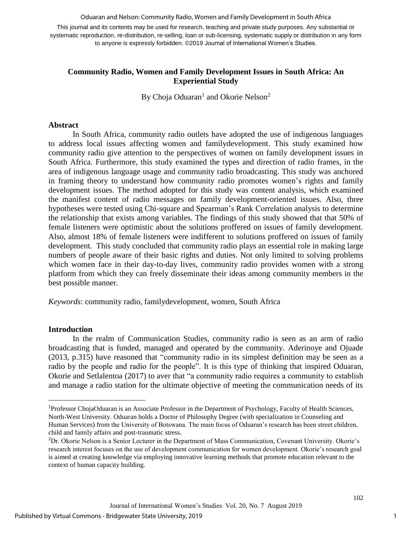Oduaran and Nelson: Community Radio, Women and Family Development in South Africa

This journal and its contents may be used for research, teaching and private study purposes. Any substantial or systematic reproduction, re-distribution, re-selling, loan or sub-licensing, systematic supply or distribution in any form to anyone is expressly forbidden. ©2019 Journal of International Women's Studies.

### **Community Radio, Women and Family Development Issues in South Africa: An Experiential Study**

By Choja Oduaran<sup>1</sup> and Okorie Nelson<sup>2</sup>

#### **Abstract**

In South Africa, community radio outlets have adopted the use of indigenous languages to address local issues affecting women and familydevelopment. This study examined how community radio give attention to the perspectives of women on family development issues in South Africa. Furthermore, this study examined the types and direction of radio frames, in the area of indigenous language usage and community radio broadcasting. This study was anchored in framing theory to understand how community radio promotes women's rights and family development issues. The method adopted for this study was content analysis, which examined the manifest content of radio messages on family development-oriented issues. Also, three hypotheses were tested using Chi-square and Spearman's Rank Correlation analysis to determine the relationship that exists among variables. The findings of this study showed that that 50% of female listeners were optimistic about the solutions proffered on issues of family development. Also, almost 18% of female listeners were indifferent to solutions proffered on issues of family development. This study concluded that community radio plays an essential role in making large numbers of people aware of their basic rights and duties. Not only limited to solving problems which women face in their day-to-day lives, community radio provides women with a strong platform from which they can freely disseminate their ideas among community members in the best possible manner.

*Keywords*: community radio, familydevelopment, women, South Africa

### **Introduction**

 $\overline{\phantom{a}}$ 

In the realm of Communication Studies, community radio is seen as an arm of radio broadcasting that is funded, managed and operated by the community. Aderinoye and Ojuade (2013, p.315) have reasoned that "community radio in its simplest definition may be seen as a radio by the people and radio for the people". It is this type of thinking that inspired Oduaran, Okorie and Setlalentoa (2017) to aver that "a community radio requires a community to establish and manage a radio station for the ultimate objective of meeting the communication needs of its

<sup>1</sup>Professor ChojaOduaran is an Associate Professor in the Department of Psychology, Faculty of Health Sciences, North-West University. Oduaran holds a Doctor of Philosophy Degree (with specialization in Counseling and Human Services) from the University of Botswana. The main focus of Oduaran's research has been street children, child and family affairs and post-traumatic stress.

<sup>2</sup>Dr. Okorie Nelson is a Senior Lecturer in the Department of Mass Communication, Covenant University. Okorie's research interest focuses on the use of development communication for women development. Okorie's research goal is aimed at creating knowledge via employing innovative learning methods that promote education relevant to the context of human capacity building.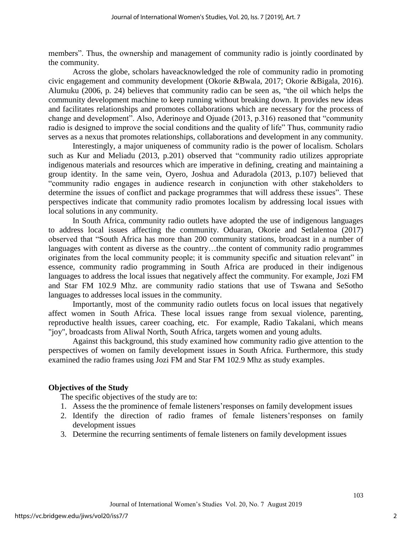members". Thus, the ownership and management of community radio is jointly coordinated by the community.

Across the globe, scholars haveacknowledged the role of community radio in promoting civic engagement and community development (Okorie &Bwala, 2017; Okorie &Bigala, 2016). Alumuku (2006, p. 24) believes that community radio can be seen as, "the oil which helps the community development machine to keep running without breaking down. It provides new ideas and facilitates relationships and promotes collaborations which are necessary for the process of change and development". Also, Aderinoye and Ojuade (2013, p.316) reasoned that "community radio is designed to improve the social conditions and the quality of life" Thus, community radio serves as a nexus that promotes relationships, collaborations and development in any community.

Interestingly, a major uniqueness of community radio is the power of localism. Scholars such as Kur and Meliadu (2013, p.201) observed that "community radio utilizes appropriate indigenous materials and resources which are imperative in defining, creating and maintaining a group identity. In the same vein, Oyero, Joshua and Aduradola (2013, p.107) believed that "community radio engages in audience research in conjunction with other stakeholders to determine the issues of conflict and package programmes that will address these issues". These perspectives indicate that community radio promotes localism by addressing local issues with local solutions in any community.

In South Africa, community radio outlets have adopted the use of indigenous languages to address local issues affecting the community. Oduaran, Okorie and Setlalentoa (2017) observed that "South Africa has more than 200 community stations, broadcast in a number of languages with content as diverse as the country…the content of community radio programmes originates from the local community people; it is community specific and situation relevant" in essence, community radio programming in South Africa are produced in their indigenous languages to address the local issues that negatively affect the community. For example, Jozi FM and Star FM 102.9 Mhz. are community radio stations that use of Tswana and [SeSotho](https://en.wikipedia.org/wiki/SeSotho) languages to addresses local issues in the community.

Importantly, most of the community radio outlets focus on local issues that negatively affect women in South Africa. These local issues range from sexual violence, parenting, reproductive health issues, career coaching, etc. For example, Radio Takalani, which means "joy", broadcasts from Aliwal North, South Africa, targets women and young adults.

Against this background, this study examined how community radio give attention to the perspectives of women on family development issues in South Africa. Furthermore, this study examined the radio frames using Jozi FM and Star FM 102.9 Mhz as study examples.

#### **Objectives of the Study**

The specific objectives of the study are to:

- 1. Assess the the prominence of female listeners'responses on family development issues
- 2. Identify the direction of radio frames of female listeners'responses on family development issues
- 3. Determine the recurring sentiments of female listeners on family development issues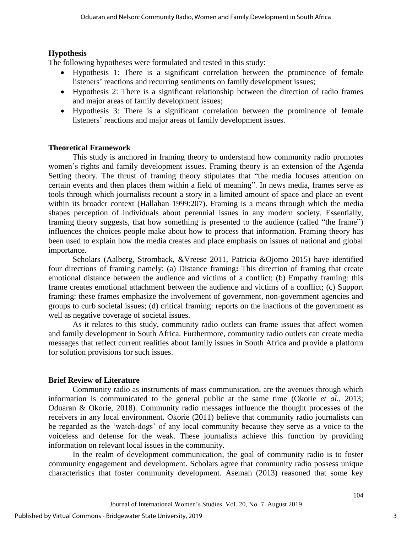### **Hypothesis**

The following hypotheses were formulated and tested in this study:

- Hypothesis 1: There is a significant correlation between the prominence of female listeners' reactions and recurring sentiments on family development issues;
- Hypothesis 2: There is a significant relationship between the direction of radio frames and major areas of family development issues;
- Hypothesis 3: There is a significant correlation between the prominence of female listeners' reactions and major areas of family development issues.

## **Theoretical Framework**

This study is anchored in framing theory to understand how community radio promotes women's rights and family development issues. Framing theory is an extension of the Agenda Setting theory. The thrust of framing theory stipulates that "the media focuses attention on certain events and then places them within a field of meaning". In news media, frames serve as tools through which journalists recount a story in a limited amount of space and place an event within its broader context (Hallahan 1999:207). Framing is a means through which the media shapes perception of individuals about perennial issues in any modern society. Essentially, framing theory suggests, that how something is presented to the audience (called "the frame") influences the choices people make about how to process that information. Framing theory has been used to explain how the media creates and place emphasis on issues of national and global importance.

Scholars (Aalberg, Stromback, &Vreese 2011, Patricia &Ojomo 2015) have identified four directions of framing namely: (a) Distance framing**:** This direction of framing that create emotional distance between the audience and victims of a conflict; (b) Empathy framing: this frame creates emotional attachment between the audience and victims of a conflict; (c) Support framing: these frames emphasize the involvement of government, non-government agencies and groups to curb societal issues; (d) critical framing: reports on the inactions of the government as well as negative coverage of societal issues.

As it relates to this study, community radio outlets can frame issues that affect women and family development in South Africa. Furthermore, community radio outlets can create media messages that reflect current realities about family issues in South Africa and provide a platform for solution provisions for such issues.

### **Brief Review of Literature**

Community radio as instruments of mass communication, are the avenues through which information is communicated to the general public at the same time (Okorie *et al.,* 2013; Oduaran & Okorie, 2018). Community radio messages influence the thought processes of the receivers in any local environment. Okorie (2011) believe that community radio journalists can be regarded as the 'watch-dogs' of any local community because they serve as a voice to the voiceless and defense for the weak. These journalists achieve this function by providing information on relevant local issues in the community.

In the realm of development communication, the goal of community radio is to foster community engagement and development. Scholars agree that community radio possess unique characteristics that foster community development. Asemah (2013) reasoned that some key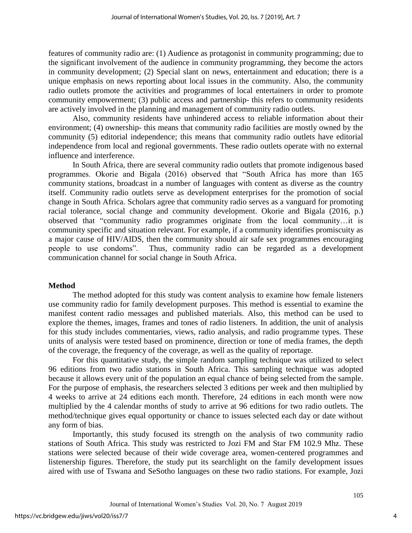features of community radio are: (1) Audience as protagonist in community programming; due to the significant involvement of the audience in community programming, they become the actors in community development; (2) Special slant on news, entertainment and education; there is a unique emphasis on news reporting about local issues in the community. Also, the community radio outlets promote the activities and programmes of local entertainers in order to promote community empowerment; (3) public access and partnership- this refers to community residents are actively involved in the planning and management of community radio outlets.

Also, community residents have unhindered access to reliable information about their environment; (4) ownership- this means that community radio facilities are mostly owned by the community (5) editorial independence; this means that community radio outlets have editorial independence from local and regional governments. These radio outlets operate with no external influence and interference.

In South Africa, there are several community radio outlets that promote indigenous based programmes. Okorie and Bigala (2016) observed that "South Africa has more than 165 community stations, broadcast in a number of languages with content as diverse as the country itself. Community radio outlets serve as development enterprises for the promotion of social change in South Africa. Scholars agree that community radio serves as a vanguard for promoting racial tolerance, social change and community development. Okorie and Bigala (2016, p.) observed that "community radio programmes originate from the local community…it is community specific and situation relevant. For example, if a community identifies promiscuity as a major cause of HIV/AIDS, then the community should air safe sex programmes encouraging people to use condoms". Thus, community radio can be regarded as a development communication channel for social change in South Africa.

### **Method**

The method adopted for this study was content analysis to examine how female listeners use community radio for family development purposes. This method is essential to examine the manifest content radio messages and published materials. Also, this method can be used to explore the themes, images, frames and tones of radio listeners. In addition, the unit of analysis for this study includes commentaries, views, radio analysis, and radio programme types. These units of analysis were tested based on prominence, direction or tone of media frames, the depth of the coverage, the frequency of the coverage, as well as the quality of reportage.

For this quantitative study, the simple random sampling technique was utilized to select 96 editions from two radio stations in South Africa. This sampling technique was adopted because it allows every unit of the population an equal chance of being selected from the sample. For the purpose of emphasis, the researchers selected 3 editions per week and then multiplied by 4 weeks to arrive at 24 editions each month. Therefore, 24 editions in each month were now multiplied by the 4 calendar months of study to arrive at 96 editions for two radio outlets. The method/technique gives equal opportunity or chance to issues selected each day or date without any form of bias.

Importantly, this study focused its strength on the analysis of two community radio stations of South Africa. This study was restricted to Jozi FM and Star FM 102.9 Mhz. These stations were selected because of their wide coverage area, women-centered programmes and listenership figures. Therefore, the study put its searchlight on the family development issues aired with use of Tswana and [SeSotho](https://en.wikipedia.org/wiki/SeSotho) languages on these two radio stations. For example, Jozi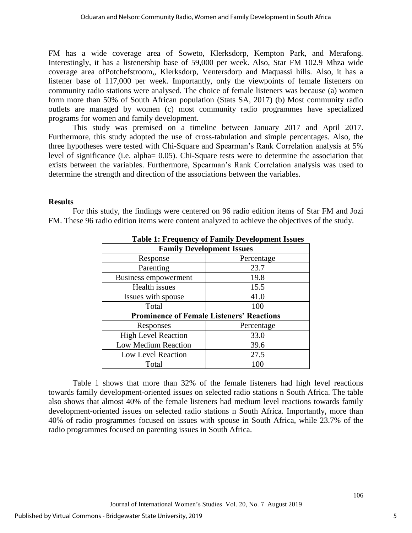FM has a wide coverage area of Soweto, Klerksdorp, Kempton Park, and Merafong. Interestingly, it has a listenership base of 59,000 per week. Also, Star FM 102.9 Mhza wide coverage area ofPotchefstroom,, Klerksdorp, Ventersdorp and Maquassi hills. Also, it has a listener base of 117,000 per week. Importantly, only the viewpoints of female listeners on community radio stations were analysed. The choice of female listeners was because (a) women form more than 50% of South African population (Stats SA, 2017) (b) Most community radio outlets are managed by women (c) most community radio programmes have specialized programs for women and family development.

This study was premised on a timeline between January 2017 and April 2017. Furthermore, this study adopted the use of cross-tabulation and simple percentages. Also, the three hypotheses were tested with Chi-Square and Spearman's Rank Correlation analysis at 5% level of significance (i.e. alpha= 0.05). Chi-Square tests were to determine the association that exists between the variables. Furthermore, Spearman's Rank Correlation analysis was used to determine the strength and direction of the associations between the variables.

#### **Results**

For this study, the findings were centered on 96 radio edition items of Star FM and Jozi FM. These 96 radio edition items were content analyzed to achieve the objectives of the study.

| Table 1: Prequency of Pannly Development Issues  |            |  |  |
|--------------------------------------------------|------------|--|--|
| <b>Family Development Issues</b>                 |            |  |  |
| Response                                         | Percentage |  |  |
| Parenting                                        | 23.7       |  |  |
| Business empowerment                             | 19.8       |  |  |
| Health issues                                    | 15.5       |  |  |
| Issues with spouse                               | 41.0       |  |  |
| Total                                            | 100        |  |  |
| <b>Prominence of Female Listeners' Reactions</b> |            |  |  |
| Responses                                        | Percentage |  |  |
| <b>High Level Reaction</b>                       | 33.0       |  |  |
| Low Medium Reaction                              | 39.6       |  |  |
| Low Level Reaction                               | 27.5       |  |  |
| Total                                            | 100        |  |  |

**Table 1: Frequency of Family Development Issues**

Table 1 shows that more than 32% of the female listeners had high level reactions towards family development-oriented issues on selected radio stations n South Africa. The table also shows that almost 40% of the female listeners had medium level reactions towards family development-oriented issues on selected radio stations n South Africa. Importantly, more than 40% of radio programmes focused on issues with spouse in South Africa, while 23.7% of the radio programmes focused on parenting issues in South Africa.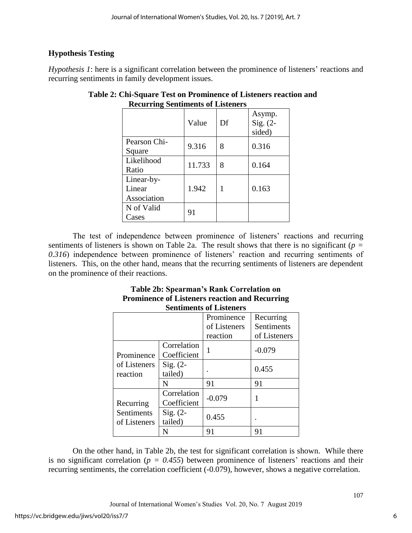# **Hypothesis Testing**

*Hypothesis 1*: here is a significant correlation between the prominence of listeners' reactions and recurring sentiments in family development issues.

| ,                                   | Value  | Df | Asymp.<br>$Sig. (2-$<br>sided) |
|-------------------------------------|--------|----|--------------------------------|
| Pearson Chi-<br>Square              | 9.316  | 8  | 0.316                          |
| Likelihood<br>Ratio                 | 11.733 | 8  | 0.164                          |
| Linear-by-<br>Linear<br>Association | 1.942  | 1  | 0.163                          |
| N of Valid<br>$\textsf{Zases}$      | 91     |    |                                |

# **Table 2: Chi-Square Test on Prominence of Listeners reaction and Recurring Sentiments of Listeners**

The test of independence between prominence of listeners' reactions and recurring sentiments of listeners is shown on Table 2a. The result shows that there is no significant ( $p =$ *0.316*) independence between prominence of listeners' reaction and recurring sentiments of listeners. This, on the other hand, means that the recurring sentiments of listeners are dependent on the prominence of their reactions.

#### **Table 2b: Spearman's Rank Correlation on Prominence of Listeners reaction and Recurring Sentiments of Listeners**

|                                         |                            | Prominence<br>of Listeners<br>reaction | Recurring<br>Sentiments<br>of Listeners |
|-----------------------------------------|----------------------------|----------------------------------------|-----------------------------------------|
| Prominence<br>of Listeners<br>reaction  | Correlation<br>Coefficient |                                        | $-0.079$                                |
|                                         | $Sig. (2-$<br>tailed)      |                                        | 0.455                                   |
|                                         | N                          | 91                                     | 91                                      |
| Recurring<br>Sentiments<br>of Listeners | Correlation<br>Coefficient | $-0.079$                               |                                         |
|                                         | $Sig. (2-$<br>tailed)      | 0.455                                  |                                         |
|                                         |                            | 91                                     | 91                                      |

On the other hand, in Table 2b, the test for significant correlation is shown. While there is no significant correlation ( $p = 0.455$ ) between prominence of listeners' reactions and their recurring sentiments, the correlation coefficient (-0.079), however, shows a negative correlation.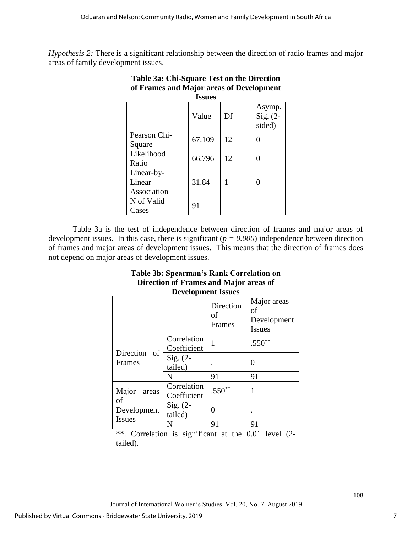*Hypothesis 2:* There is a significant relationship between the direction of radio frames and major areas of family development issues.

| <b>Issues</b>                       |        |    |                                |  |
|-------------------------------------|--------|----|--------------------------------|--|
|                                     | Value  | Df | Asymp.<br>Sig. $(2-$<br>sided) |  |
| Pearson Chi-<br>Square              | 67.109 | 12 | 0                              |  |
| Likelihood<br>Ratio                 | 66.796 | 12 | 0                              |  |
| Linear-by-<br>Linear<br>Association | 31.84  |    | 0                              |  |
| N of Valid<br>Cases                 | 91     |    |                                |  |

# **Table 3a: Chi-Square Test on the Direction of Frames and Major areas of Development**

Table 3a is the test of independence between direction of frames and major areas of development issues. In this case, there is significant  $(p = 0.000)$  independence between direction of frames and major areas of development issues. This means that the direction of frames does not depend on major areas of development issues.

| Table 3b: Spearman's Rank Correlation on<br>Direction of Frames and Major areas of<br><b>Development Issues</b> |                       |                                    |  |
|-----------------------------------------------------------------------------------------------------------------|-----------------------|------------------------------------|--|
|                                                                                                                 | Direction<br>$\sigma$ | Major areas<br>of<br>$D$ evelonmen |  |

|                                                      |                            | of<br>Frames | OТ<br>Development<br><b>Issues</b> |
|------------------------------------------------------|----------------------------|--------------|------------------------------------|
| Direction<br>of<br>Frames                            | Correlation<br>Coefficient |              | $.550**$                           |
|                                                      | $Sig. (2-$<br>tailed)      |              | 0                                  |
|                                                      | N                          | 91           | 91                                 |
| Major<br>areas<br>of<br>Development<br><b>Issues</b> | Correlation<br>Coefficient | $.550**$     |                                    |
|                                                      | $Sig. (2-$<br>tailed)      | 0            |                                    |
|                                                      |                            | 91           | 91                                 |

\*\*. Correlation is significant at the  $0.01$  level  $(2$ tailed).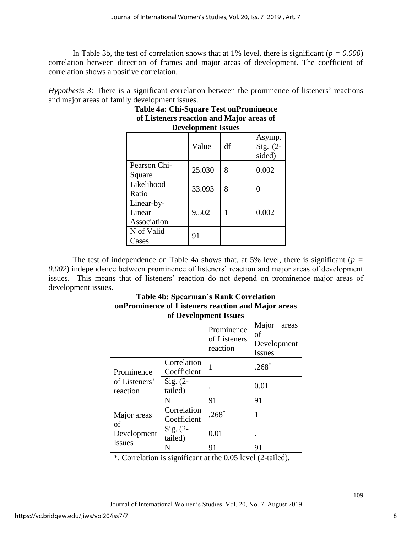In Table 3b, the test of correlation shows that at 1% level, there is significant  $(p = 0.000)$ correlation between direction of frames and major areas of development. The coefficient of correlation shows a positive correlation.

*Hypothesis 3:* There is a significant correlation between the prominence of listeners' reactions and major areas of family development issues.

| <b>Development Issues</b>           |        |    |                                |  |
|-------------------------------------|--------|----|--------------------------------|--|
|                                     | Value  | df | Asymp.<br>Sig. $(2-$<br>sided) |  |
| Pearson Chi-<br>Square              | 25.030 | 8  | 0.002                          |  |
| Likelihood<br>Ratio                 | 33.093 | 8  |                                |  |
| Linear-by-<br>Linear<br>Association | 9.502  | 1  | 0.002                          |  |
| N of Valid<br>Cases                 | 91     |    |                                |  |

# **Table 4a: Chi-Square Test onProminence of Listeners reaction and Major areas of**

The test of independence on Table 4a shows that, at 5% level, there is significant ( $p =$ *0.002*) independence between prominence of listeners' reaction and major areas of development issues. This means that of listeners' reaction do not depend on prominence major areas of development issues.

### **Table 4b: Spearman's Rank Correlation onProminence of Listeners reaction and Major areas of Development Issues**

|                                                                            |                            | Prominence<br>of Listeners<br>reaction | Major<br>areas<br>of<br>Development<br><b>Issues</b> |
|----------------------------------------------------------------------------|----------------------------|----------------------------------------|------------------------------------------------------|
| Prominence                                                                 | Correlation<br>Coefficient | 1                                      | $.268*$                                              |
| of Listeners'<br>reaction                                                  | $Sig. (2-$<br>tailed)      |                                        | 0.01                                                 |
|                                                                            | N                          | 91                                     | 91                                                   |
| Major areas<br>of<br>$Sig. (2-$<br>Development<br>tailed)<br><b>Issues</b> | Correlation<br>Coefficient | $.268*$                                |                                                      |
|                                                                            |                            | 0.01                                   |                                                      |
|                                                                            | N                          | 91                                     | 91                                                   |

\*. Correlation is significant at the 0.05 level (2-tailed).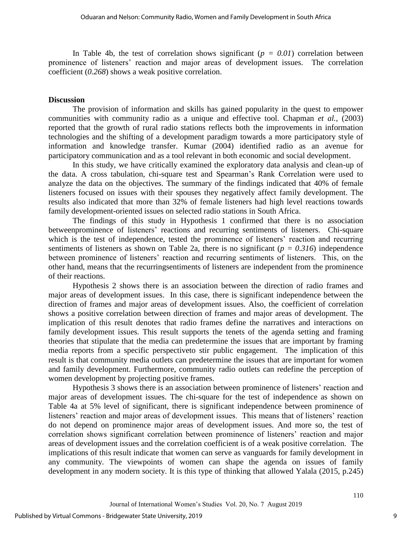In Table 4b, the test of correlation shows significant  $(p = 0.01)$  correlation between prominence of listeners' reaction and major areas of development issues. The correlation coefficient (*0.268*) shows a weak positive correlation.

#### **Discussion**

The provision of information and skills has gained popularity in the quest to empower communities with community radio as a unique and effective tool. Chapman *et al.,* (2003) reported that the growth of rural radio stations reflects both the improvements in information technologies and the shifting of a development paradigm towards a more participatory style of information and knowledge transfer. Kumar (2004) identified radio as an avenue for participatory communication and as a tool relevant in both economic and social development.

In this study, we have critically examined the exploratory data analysis and clean-up of the data. A cross tabulation, chi-square test and Spearman's Rank Correlation were used to analyze the data on the objectives. The summary of the findings indicated that 40% of female listeners focused on issues with their spouses they negatively affect family development. The results also indicated that more than 32% of female listeners had high level reactions towards family development-oriented issues on selected radio stations in South Africa.

The findings of this study in Hypothesis 1 confirmed that there is no association betweenprominence of listeners' reactions and recurring sentiments of listeners. Chi-square which is the test of independence, tested the prominence of listeners' reaction and recurring sentiments of listeners as shown on Table 2a, there is no significant ( $p = 0.316$ ) independence between prominence of listeners' reaction and recurring sentiments of listeners. This, on the other hand, means that the recurringsentiments of listeners are independent from the prominence of their reactions.

Hypothesis 2 shows there is an association between the direction of radio frames and major areas of development issues. In this case, there is significant independence between the direction of frames and major areas of development issues. Also, the coefficient of correlation shows a positive correlation between direction of frames and major areas of development. The implication of this result denotes that radio frames define the narratives and interactions on family development issues. This result supports the tenets of the agenda setting and framing theories that stipulate that the media can predetermine the issues that are important by framing media reports from a specific perspectiveto stir public engagement. The implication of this result is that community media outlets can predetermine the issues that are important for women and family development. Furthermore, community radio outlets can redefine the perception of women development by projecting positive frames.

Hypothesis 3 shows there is an association between prominence of listeners' reaction and major areas of development issues. The chi-square for the test of independence as shown on Table 4a at 5% level of significant, there is significant independence between prominence of listeners' reaction and major areas of development issues. This means that of listeners' reaction do not depend on prominence major areas of development issues. And more so, the test of correlation shows significant correlation between prominence of listeners' reaction and major areas of development issues and the correlation coefficient is of a weak positive correlation. The implications of this result indicate that women can serve as vanguards for family development in any community. The viewpoints of women can shape the agenda on issues of family development in any modern society. It is this type of thinking that allowed Yalala (2015, p.245)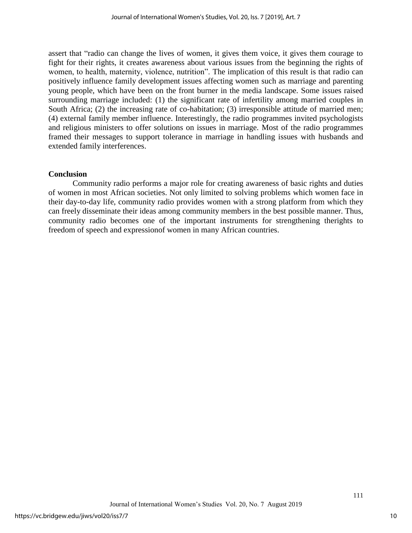assert that "radio can change the lives of women, it gives them voice, it gives them courage to fight for their rights, it creates awareness about various issues from the beginning the rights of women, to health, maternity, violence, nutrition". The implication of this result is that radio can positively influence family development issues affecting women such as marriage and parenting young people, which have been on the front burner in the media landscape. Some issues raised surrounding marriage included: (1) the significant rate of infertility among married couples in South Africa; (2) the increasing rate of co-habitation; (3) irresponsible attitude of married men; (4) external family member influence. Interestingly, the radio programmes invited psychologists and religious ministers to offer solutions on issues in marriage. Most of the radio programmes framed their messages to support tolerance in marriage in handling issues with husbands and extended family interferences.

### **Conclusion**

Community radio performs a major role for creating awareness of basic rights and duties of women in most African societies. Not only limited to solving problems which women face in their day-to-day life, community radio provides women with a strong platform from which they can freely disseminate their ideas among community members in the best possible manner. Thus, community radio becomes one of the important instruments for strengthening therights to freedom of speech and expressionof women in many African countries.